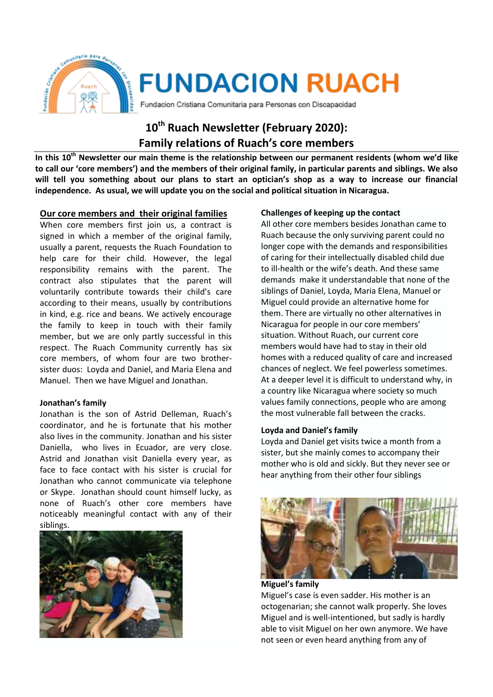

# **10th Ruach Newsletter (February 2020): Family relations of Ruach's core members**

**In this 10th Newsletter our main theme is the relationship between our permanent residents (whom we'd like to call our 'core members') and the members of their original family, in particular parents and siblings. We also will tell you something about our plans to start an optician's shop as a way to increase our financial independence. As usual, we will update you on the social and political situation in Nicaragua.**

# **Our core members and their original families**

When core members first join us, a contract is signed in which a member of the original family, usually a parent, requests the Ruach Foundation to help care for their child. However, the legal responsibility remains with the parent. The contract also stipulates that the parent will voluntarily contribute towards their child's care according to their means, usually by contributions in kind, e.g. rice and beans. We actively encourage the family to keep in touch with their family member, but we are only partly successful in this respect. The Ruach Community currently has six core members, of whom four are two brothersister duos: Loyda and Daniel, and Maria Elena and Manuel. Then we have Miguel and Jonathan.

## **Jonathan's family**

Jonathan is the son of Astrid Delleman, Ruach's coordinator, and he is fortunate that his mother also lives in the community. Jonathan and his sister Daniella, who lives in Ecuador, are very close. Astrid and Jonathan visit Daniella every year, as face to face contact with his sister is crucial for Jonathan who cannot communicate via telephone or Skype. Jonathan should count himself lucky, as none of Ruach's other core members have noticeably meaningful contact with any of their siblings.



# **Challenges of keeping up the contact**

All other core members besides Jonathan came to Ruach because the only surviving parent could no longer cope with the demands and responsibilities of caring for their intellectually disabled child due to ill-health or the wife's death. And these same demands make it understandable that none of the siblings of Daniel, Loyda, Maria Elena, Manuel or Miguel could provide an alternative home for them. There are virtually no other alternatives in Nicaragua for people in our core members' situation. Without Ruach, our current core members would have had to stay in their old homes with a reduced quality of care and increased chances of neglect. We feel powerless sometimes. At a deeper level it is difficult to understand why, in a country like Nicaragua where society so much values family connections, people who are among the most vulnerable fall between the cracks.

## **Loyda and Daniel's family**

Loyda and Daniel get visits twice a month from a sister, but she mainly comes to accompany their mother who is old and sickly. But they never see or hear anything from their other four siblings



**Miguel's family** Miguel's case is even sadder. His mother is an octogenarian; she cannot walk properly. She loves Miguel and is well-intentioned, but sadly is hardly able to visit Miguel on her own anymore. We have not seen or even heard anything from any of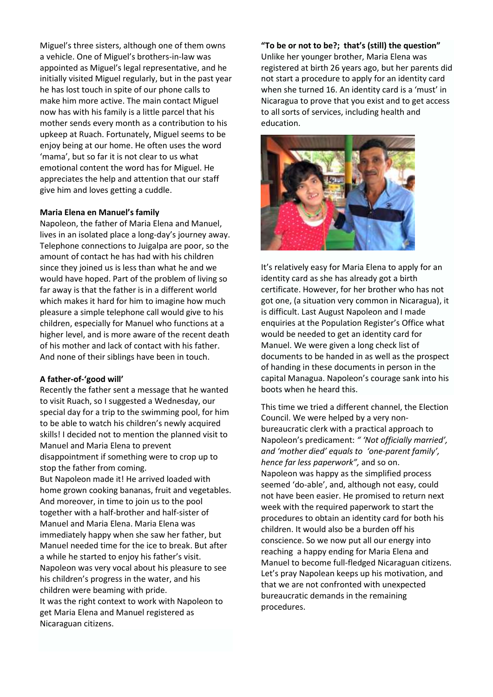Miguel's three sisters, although one of them owns a vehicle. One of Miguel's brothers-in-law was appointed as Miguel's legal representative, and he initially visited Miguel regularly, but in the past year he has lost touch in spite of our phone calls to make him more active. The main contact Miguel now has with his family is a little parcel that his mother sends every month as a contribution to his upkeep at Ruach. Fortunately, Miguel seems to be enjoy being at our home. He often uses the word 'mama', but so far it is not clear to us what emotional content the word has for Miguel. He appreciates the help and attention that our staff give him and loves getting a cuddle.

### **Maria Elena en Manuel's family**

Napoleon, the father of Maria Elena and Manuel, lives in an isolated place a long-day's journey away. Telephone connections to Juigalpa are poor, so the amount of contact he has had with his children since they joined us is less than what he and we would have hoped. Part of the problem of living so far away is that the father is in a different world which makes it hard for him to imagine how much pleasure a simple telephone call would give to his children, especially for Manuel who functions at a higher level, and is more aware of the recent death of his mother and lack of contact with his father. And none of their siblings have been in touch.

#### **A father-of-'good will'**

Recently the father sent a message that he wanted to visit Ruach, so I suggested a Wednesday, our special day for a trip to the swimming pool, for him to be able to watch his children's newly acquired skills! I decided not to mention the planned visit to Manuel and Maria Elena to prevent disappointment if something were to crop up to stop the father from coming.

But Napoleon made it! He arrived loaded with home grown cooking bananas, fruit and vegetables. And moreover, in time to join us to the pool together with a half-brother and half-sister of Manuel and Maria Elena. Maria Elena was immediately happy when she saw her father, but Manuel needed time for the ice to break. But after a while he started to enjoy his father's visit. Napoleon was very vocal about his pleasure to see his children's progress in the water, and his children were beaming with pride. It was the right context to work with Napoleon to get Maria Elena and Manuel registered as Nicaraguan citizens.

**"To be or not to be?; that's (still) the question"** Unlike her younger brother, Maria Elena was registered at birth 26 years ago, but her parents did not start a procedure to apply for an identity card when she turned 16. An identity card is a 'must' in Nicaragua to prove that you exist and to get access to all sorts of services, including health and education.



It's relatively easy for Maria Elena to apply for an identity card as she has already got a birth certificate. However, for her brother who has not got one, (a situation very common in Nicaragua), it is difficult. Last August Napoleon and I made enquiries at the Population Register's Office what would be needed to get an identity card for Manuel. We were given a long check list of documents to be handed in as well as the prospect of handing in these documents in person in the capital Managua. Napoleon's courage sank into his boots when he heard this.

This time we tried a different channel, the Election Council. We were helped by a very nonbureaucratic clerk with a practical approach to Napoleon's predicament: *" 'Not officially married', and 'mother died' equals to 'one-parent family', hence far less paperwork",* and so on. Napoleon was happy as the simplified process seemed 'do-able', and, although not easy, could not have been easier. He promised to return next week with the required paperwork to start the procedures to obtain an identity card for both his children. It would also be a burden off his conscience. So we now put all our energy into reaching a happy ending for Maria Elena and Manuel to become full-fledged Nicaraguan citizens. Let's pray Napolean keeps up his motivation, and that we are not confronted with unexpected bureaucratic demands in the remaining procedures.